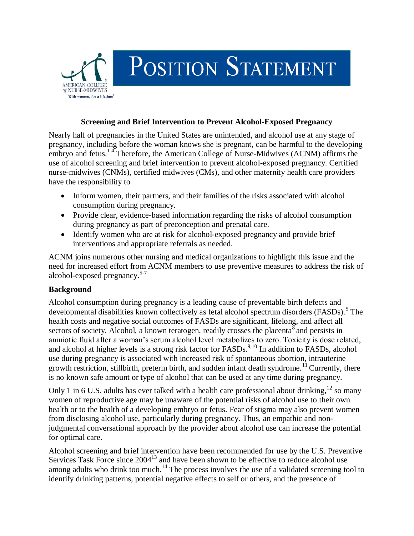

#### **Screening and Brief Intervention to Prevent Alcohol-Exposed Pregnancy**

Nearly half of pregnancies in the United States are unintended, and alcohol use at any stage of pregnancy, including before the woman knows she is pregnant, can be harmful to the developing embryo and fetus.<sup>14</sup> Therefore, the American College of Nurse-Midwives (ACNM) affirms the use of alcohol screening and brief intervention to prevent alcohol-exposed pregnancy. Certified nurse-midwives (CNMs), certified midwives (CMs), and other maternity health care providers have the responsibility to

- Inform women, their partners, and their families of the risks associated with alcohol consumption during pregnancy.
- Provide clear, evidence-based information regarding the risks of alcohol consumption during pregnancy as part of preconception and prenatal care.
- Identify women who are at risk for alcohol-exposed pregnancy and provide brief interventions and appropriate referrals as needed.

ACNM joins numerous other nursing and medical organizations to highlight this issue and the need for increased effort from ACNM members to use preventive measures to address the risk of alcohol-exposed pregnancy.<sup>5-7</sup>

## **Background**

Alcohol consumption during pregnancy is a leading cause of preventable birth defects and developmental disabilities known collectively as fetal alcohol spectrum disorders (FASDs).<sup>5</sup> The health costs and negative social outcomes of FASDs are significant, lifelong, and affect all sectors of society. Alcohol, a known teratogen, readily crosses the placenta  $\bar{s}$  and persists in amniotic fluid after a woman's serum alcohol level metabolizes to zero. Toxicity is dose related, and alcohol at higher levels is a strong risk factor for FASDs.<sup>9,10</sup> In addition to FASDs, alcohol use during pregnancy is associated with increased risk of spontaneous abortion, intrauterine growth restriction, stillbirth, preterm birth, and sudden infant death syndrome.<sup>11</sup> Currently, there is no known safe amount or type of alcohol that can be used at any time during pregnancy.

Only 1 in 6 U.S. adults has ever talked with a health care professional about drinking,  $12$  so many women of reproductive age may be unaware of the potential risks of alcohol use to their own health or to the health of a developing embryo or fetus. Fear of stigma may also prevent women from disclosing alcohol use, particularly during pregnancy. Thus, an empathic and nonjudgmental conversational approach by the provider about alcohol use can increase the potential for optimal care.

Alcohol screening and brief intervention have been recommended for use by the U.S. Preventive Services Task Force since 2004<sup>13</sup> and have been shown to be effective to reduce alcohol use among adults who drink too much.<sup>14</sup> The process involves the use of a validated screening tool to identify drinking patterns, potential negative effects to self or others, and the presence of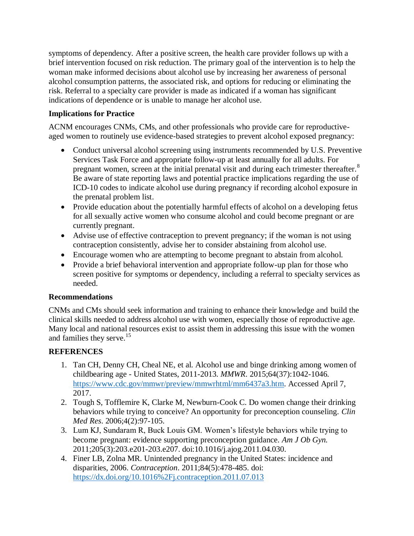symptoms of dependency. After a positive screen, the health care provider follows up with a brief intervention focused on risk reduction. The primary goal of the intervention is to help the woman make informed decisions about alcohol use by increasing her awareness of personal alcohol consumption patterns, the associated risk, and options for reducing or eliminating the risk. Referral to a specialty care provider is made as indicated if a woman has significant indications of dependence or is unable to manage her alcohol use.

# **Implications for Practice**

ACNM encourages CNMs, CMs, and other professionals who provide care for reproductiveaged women to routinely use evidence-based strategies to prevent alcohol exposed pregnancy:

- Conduct universal alcohol screening using instruments recommended by U.S. Preventive Services Task Force and appropriate follow-up at least annually for all adults. For pregnant women, screen at the initial prenatal visit and during each trimester thereafter.<sup>8</sup> Be aware of state reporting laws and potential practice implications regarding the use of ICD-10 codes to indicate alcohol use during pregnancy if recording alcohol exposure in the prenatal problem list.
- Provide education about the potentially harmful effects of alcohol on a developing fetus for all sexually active women who consume alcohol and could become pregnant or are currently pregnant.
- Advise use of effective contraception to prevent pregnancy; if the woman is not using contraception consistently, advise her to consider abstaining from alcohol use.
- Encourage women who are attempting to become pregnant to abstain from alcohol.
- Provide a brief behavioral intervention and appropriate follow-up plan for those who screen positive for symptoms or dependency, including a referral to specialty services as needed.

## **Recommendations**

CNMs and CMs should seek information and training to enhance their knowledge and build the clinical skills needed to address alcohol use with women, especially those of reproductive age. Many local and national resources exist to assist them in addressing this issue with the women and families they serve.<sup>15</sup>

# **REFERENCES**

- 1. Tan CH, Denny CH, Cheal NE, et al. Alcohol use and binge drinking among women of childbearing age - United States, 2011-2013. *MMWR*. 2015;64(37):1042-1046. [https://www.cdc.gov/mmwr/preview/mmwrhtml/mm6437a3.htm.](https://www.cdc.gov/mmwr/preview/mmwrhtml/mm6437a3.htm) Accessed April 7, 2017.
- 2. Tough S, Tofflemire K, Clarke M, Newburn-Cook C. Do women change their drinking behaviors while trying to conceive? An opportunity for preconception counseling. *Clin Med Res*. 2006;4(2):97-105.
- 3. Lum KJ, Sundaram R, Buck Louis GM. Women's lifestyle behaviors while trying to become pregnant: evidence supporting preconception guidance. *Am J Ob Gyn.* 2011;205(3):203.e201-203.e207. doi:10.1016/j.ajog.2011.04.030.
- 4. Finer LB, Zolna MR. Unintended pregnancy in the United States: incidence and disparities, 2006. *Contraception*. 2011;84(5):478-485. doi: <https://dx.doi.org/10.1016%2Fj.contraception.2011.07.013>